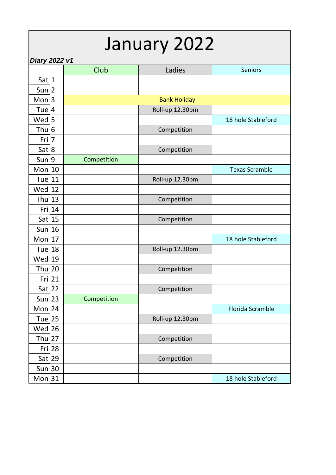## January 2022

| Diary 2022 v1    |             |                     |                       |
|------------------|-------------|---------------------|-----------------------|
|                  | Club        | Ladies              | <b>Seniors</b>        |
| Sat 1            |             |                     |                       |
| Sun <sub>2</sub> |             |                     |                       |
| Mon 3            |             | <b>Bank Holiday</b> |                       |
| Tue 4            |             | Roll-up 12.30pm     |                       |
| Wed 5            |             |                     | 18 hole Stableford    |
| Thu <sub>6</sub> |             | Competition         |                       |
| Fri 7            |             |                     |                       |
| Sat 8            |             | Competition         |                       |
| Sun 9            | Competition |                     |                       |
| <b>Mon 10</b>    |             |                     | <b>Texas Scramble</b> |
| <b>Tue 11</b>    |             | Roll-up 12.30pm     |                       |
| <b>Wed 12</b>    |             |                     |                       |
| <b>Thu 13</b>    |             | Competition         |                       |
| Fri 14           |             |                     |                       |
| Sat 15           |             | Competition         |                       |
| <b>Sun 16</b>    |             |                     |                       |
| Mon 17           |             |                     | 18 hole Stableford    |
| Tue 18           |             | Roll-up 12.30pm     |                       |
| <b>Wed 19</b>    |             |                     |                       |
| <b>Thu 20</b>    |             | Competition         |                       |
| Fri 21           |             |                     |                       |
| <b>Sat 22</b>    |             | Competition         |                       |
| <b>Sun 23</b>    | Competition |                     |                       |
| Mon 24           |             |                     | Florida Scramble      |
| <b>Tue 25</b>    |             | Roll-up 12.30pm     |                       |
| Wed 26           |             |                     |                       |
| <b>Thu 27</b>    |             | Competition         |                       |
| Fri 28           |             |                     |                       |
| Sat 29           |             | Competition         |                       |
| <b>Sun 30</b>    |             |                     |                       |
| Mon 31           |             |                     | 18 hole Stableford    |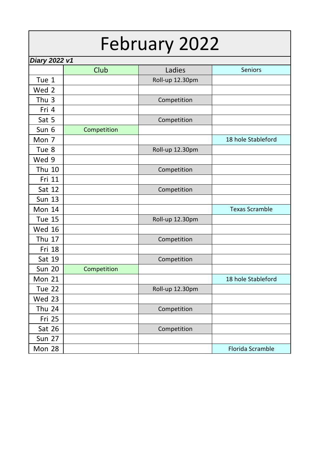## February 2022

| Diary 2022 v1    |             |                 |                       |
|------------------|-------------|-----------------|-----------------------|
|                  | Club        | Ladies          | <b>Seniors</b>        |
| Tue 1            |             | Roll-up 12.30pm |                       |
| Wed 2            |             |                 |                       |
| Thu <sub>3</sub> |             | Competition     |                       |
| Fri 4            |             |                 |                       |
| Sat 5            |             | Competition     |                       |
| Sun 6            | Competition |                 |                       |
| Mon 7            |             |                 | 18 hole Stableford    |
| Tue 8            |             | Roll-up 12.30pm |                       |
| Wed 9            |             |                 |                       |
| Thu 10           |             | Competition     |                       |
| Fri 11           |             |                 |                       |
| Sat 12           |             | Competition     |                       |
| <b>Sun 13</b>    |             |                 |                       |
| Mon 14           |             |                 | <b>Texas Scramble</b> |
| <b>Tue 15</b>    |             | Roll-up 12.30pm |                       |
| <b>Wed 16</b>    |             |                 |                       |
| <b>Thu 17</b>    |             | Competition     |                       |
| Fri 18           |             |                 |                       |
| Sat 19           |             | Competition     |                       |
| <b>Sun 20</b>    | Competition |                 |                       |
| <b>Mon 21</b>    |             |                 | 18 hole Stableford    |
| <b>Tue 22</b>    |             | Roll-up 12.30pm |                       |
| <b>Wed 23</b>    |             |                 |                       |
| <b>Thu 24</b>    |             | Competition     |                       |
| Fri 25           |             |                 |                       |
| Sat 26           |             | Competition     |                       |
| <b>Sun 27</b>    |             |                 |                       |
| <b>Mon 28</b>    |             |                 | Florida Scramble      |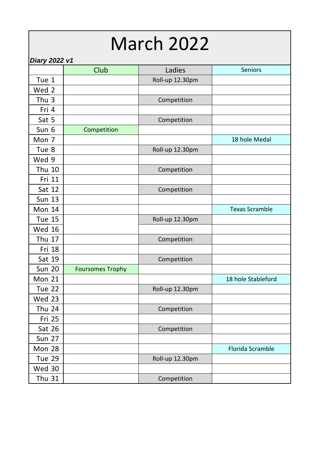## March 2022

#### Club | Ladies | Seniors Tue 1 and 1 Roll-up 12.30pm Wed 2 Thu 3 and 1 competition Fri 4 Sat 5 | Competition Sun 6 Competition Mon 7 | 18 hole Medal Tue 8 | Roll-up 12.30pm Wed 9 Thu 10 | Competition Fri 11 Sat 12 Competition Sun 13 Mon 14 | Nontinuous | Nontinuous | Nontinuous | Nontinuous | Non-Tue 15 | Roll-up 12.30pm Wed 16 Thu 17 | Competition Fri 18 Sat 19 | Competition Sun 20 | Foursomes Trophy Mon 21 | 18 hole Stableford Tue 22 Roll-up 12.30pm Wed 23 Thu 24 | Competition Fri 25 Sat 26 | Competition Sun 27 Mon 28 | Register Mon 28 | Register Mon 28 | Register Mon 28 | Register Mon 28 | Register Mon 28 | Register Mon 28 | Register Mon 28 | Register Mon 28 | Register Mon 29 | Register Mon 29 | Register Mon 29 | Register Mon 29 Tue 29 | Roll-up 12.30pm Wed 30 Thu 31 | Competition *Diary 2022 v1*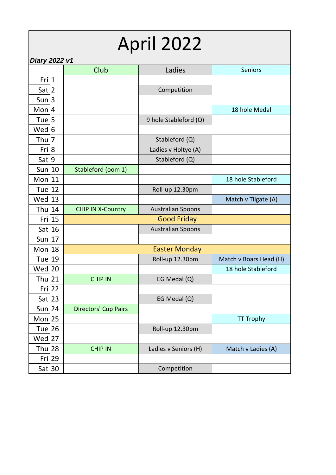# April 2022

| Diary 2022 v1    |                          |                          |                        |
|------------------|--------------------------|--------------------------|------------------------|
|                  | Club                     | Ladies                   | Seniors                |
| Fri 1            |                          |                          |                        |
| Sat 2            |                          | Competition              |                        |
| Sun 3            |                          |                          |                        |
| Mon 4            |                          |                          | 18 hole Medal          |
| Tue 5            |                          | 9 hole Stableford (Q)    |                        |
| Wed 6            |                          |                          |                        |
| Thu <sub>7</sub> |                          | Stableford (Q)           |                        |
| Fri 8            |                          | Ladies v Holtye (A)      |                        |
| Sat 9            |                          | Stableford (Q)           |                        |
| <b>Sun 10</b>    | Stableford (oom 1)       |                          |                        |
| <b>Mon 11</b>    |                          |                          | 18 hole Stableford     |
| <b>Tue 12</b>    |                          | Roll-up 12.30pm          |                        |
| <b>Wed 13</b>    |                          |                          | Match v Tilgate (A)    |
| <b>Thu 14</b>    | <b>CHIP IN X-Country</b> | <b>Australian Spoons</b> |                        |
| Fri 15           |                          | <b>Good Friday</b>       |                        |
| Sat 16           |                          | <b>Australian Spoons</b> |                        |
| <b>Sun 17</b>    |                          |                          |                        |
| Mon 18           |                          | <b>Easter Monday</b>     |                        |
| <b>Tue 19</b>    |                          | Roll-up 12.30pm          | Match v Boars Head (H) |
| <b>Wed 20</b>    |                          |                          | 18 hole Stableford     |
| <b>Thu 21</b>    | <b>CHIP IN</b>           | EG Medal (Q)             |                        |
| <b>Fri 22</b>    |                          |                          |                        |
| Sat 23           |                          | EG Medal (Q)             |                        |
| <b>Sun 24</b>    | Directors' Cup Pairs     |                          |                        |
| <b>Mon 25</b>    |                          |                          | <b>TT Trophy</b>       |
| <b>Tue 26</b>    |                          | Roll-up 12.30pm          |                        |
| <b>Wed 27</b>    |                          |                          |                        |
| <b>Thu 28</b>    | <b>CHIP IN</b>           | Ladies v Seniors (H)     | Match v Ladies (A)     |
| Fri 29           |                          |                          |                        |
| Sat 30           |                          | Competition              |                        |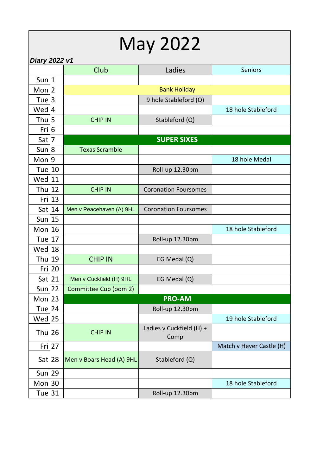| May 2022      |                          |                                  |                          |  |
|---------------|--------------------------|----------------------------------|--------------------------|--|
| Diary 2022 v1 |                          |                                  |                          |  |
|               | Club                     | Ladies                           | <b>Seniors</b>           |  |
| Sun 1         |                          |                                  |                          |  |
| Mon 2         |                          | <b>Bank Holiday</b>              |                          |  |
| Tue 3         |                          | 9 hole Stableford (Q)            |                          |  |
| Wed 4         |                          |                                  | 18 hole Stableford       |  |
| Thu 5         | <b>CHIP IN</b>           | Stableford (Q)                   |                          |  |
| Fri 6         |                          |                                  |                          |  |
| Sat 7         |                          | <b>SUPER SIXES</b>               |                          |  |
| Sun 8         | <b>Texas Scramble</b>    |                                  |                          |  |
| Mon 9         |                          |                                  | 18 hole Medal            |  |
| <b>Tue 10</b> |                          | Roll-up 12.30pm                  |                          |  |
| <b>Wed 11</b> |                          |                                  |                          |  |
| <b>Thu 12</b> | <b>CHIP IN</b>           | <b>Coronation Foursomes</b>      |                          |  |
| Fri 13        |                          |                                  |                          |  |
| Sat 14        | Men v Peacehaven (A) 9HL | <b>Coronation Foursomes</b>      |                          |  |
| <b>Sun 15</b> |                          |                                  |                          |  |
| <b>Mon 16</b> |                          |                                  | 18 hole Stableford       |  |
| <b>Tue 17</b> |                          | Roll-up 12.30pm                  |                          |  |
| Wed 18        |                          |                                  |                          |  |
| Thu 19        | <b>CHIP IN</b>           | EG Medal (Q)                     |                          |  |
| <b>Fri 20</b> |                          |                                  |                          |  |
| Sat 21        | Men v Cuckfield (H) 9HL  | EG Medal (Q)                     |                          |  |
| <b>Sun 22</b> | Committee Cup (oom 2)    |                                  |                          |  |
| Mon 23        |                          | <b>PRO-AM</b>                    |                          |  |
| <b>Tue 24</b> |                          | Roll-up 12.30pm                  |                          |  |
| <b>Wed 25</b> |                          |                                  | 19 hole Stableford       |  |
| <b>Thu 26</b> | <b>CHIP IN</b>           | Ladies v Cuckfield (H) +<br>Comp |                          |  |
| Fri 27        |                          |                                  | Match v Hever Castle (H) |  |
| Sat 28        | Men v Boars Head (A) 9HL | Stableford (Q)                   |                          |  |
| <b>Sun 29</b> |                          |                                  |                          |  |
| Mon 30        |                          |                                  | 18 hole Stableford       |  |
| <b>Tue 31</b> |                          | Roll-up 12.30pm                  |                          |  |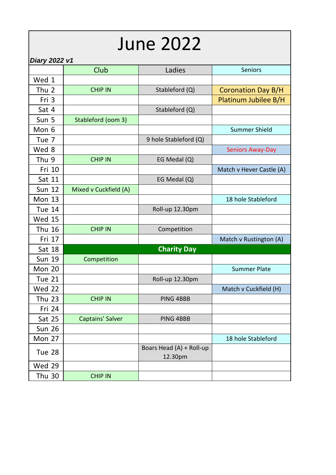## June 2022

| Diary 2022 v1 |                         |                                     |                           |  |
|---------------|-------------------------|-------------------------------------|---------------------------|--|
|               | Club                    | Ladies                              | <b>Seniors</b>            |  |
| Wed 1         |                         |                                     |                           |  |
| Thu 2         | <b>CHIP IN</b>          | Stableford (Q)                      | <b>Coronation Day B/H</b> |  |
| Fri 3         |                         |                                     | Platinum Jubilee B/H      |  |
| Sat 4         |                         | Stableford (Q)                      |                           |  |
| Sun 5         | Stableford (oom 3)      |                                     |                           |  |
| Mon 6         |                         |                                     | Summer Shield             |  |
| Tue 7         |                         | 9 hole Stableford (Q)               |                           |  |
| Wed 8         |                         |                                     | <b>Seniors Away-Day</b>   |  |
| Thu 9         | <b>CHIP IN</b>          | EG Medal (Q)                        |                           |  |
| Fri 10        |                         |                                     | Match v Hever Castle (A)  |  |
| Sat 11        |                         | EG Medal (Q)                        |                           |  |
| <b>Sun 12</b> | Mixed v Cuckfield (A)   |                                     |                           |  |
| Mon 13        |                         |                                     | 18 hole Stableford        |  |
| <b>Tue 14</b> |                         | Roll-up 12.30pm                     |                           |  |
| <b>Wed 15</b> |                         |                                     |                           |  |
| <b>Thu 16</b> | <b>CHIP IN</b>          | Competition                         |                           |  |
| Fri 17        |                         |                                     | Match v Rustington (A)    |  |
| <b>Sat 18</b> |                         | <b>Charity Day</b>                  |                           |  |
| <b>Sun 19</b> | Competition             |                                     |                           |  |
| Mon 20        |                         |                                     | <b>Summer Plate</b>       |  |
| <b>Tue 21</b> |                         | Roll-up 12.30pm                     |                           |  |
| <b>Wed 22</b> |                         |                                     | Match v Cuckfield (H)     |  |
| <b>Thu 23</b> | <b>CHIP IN</b>          | PING 4BBB                           |                           |  |
| Fri 24        |                         |                                     |                           |  |
| Sat 25        | <b>Captains' Salver</b> | PING 4BBB                           |                           |  |
| <b>Sun 26</b> |                         |                                     |                           |  |
| Mon 27        |                         |                                     | 18 hole Stableford        |  |
| Tue 28        |                         | Boars Head (A) + Roll-up<br>12.30pm |                           |  |
| <b>Wed 29</b> |                         |                                     |                           |  |
| <b>Thu 30</b> | <b>CHIP IN</b>          |                                     |                           |  |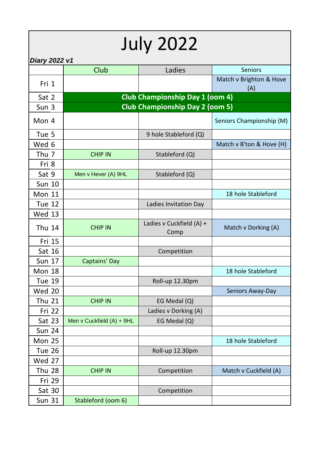| <b>July 2022</b> |                           |                                        |                                |
|------------------|---------------------------|----------------------------------------|--------------------------------|
| Diary 2022 v1    |                           |                                        |                                |
|                  | Club                      | Ladies                                 | <b>Seniors</b>                 |
| Fri 1            |                           |                                        | Match v Brighton & Hove<br>(A) |
| Sat 2            |                           | <b>Club Championship Day 1 (oom 4)</b> |                                |
| Sun 3            |                           | <b>Club Championship Day 2 (oom 5)</b> |                                |
| Mon 4            |                           |                                        | Seniors Championship (M)       |
| Tue 5            |                           | 9 hole Stableford (Q)                  |                                |
| Wed 6            |                           |                                        | Match v B'ton & Hove (H)       |
| Thu <sub>7</sub> | <b>CHIP IN</b>            | Stableford (Q)                         |                                |
| Fri 8            |                           |                                        |                                |
| Sat 9            | Men v Hever (A) 9HL       | Stableford (Q)                         |                                |
| <b>Sun 10</b>    |                           |                                        |                                |
| <b>Mon 11</b>    |                           |                                        | 18 hole Stableford             |
| <b>Tue 12</b>    |                           | Ladies Invitation Day                  |                                |
| <b>Wed 13</b>    |                           |                                        |                                |
| <b>Thu 14</b>    | <b>CHIP IN</b>            | Ladies v Cuckfield (A) +<br>Comp       | Match v Dorking (A)            |
| Fri 15           |                           |                                        |                                |
| Sat 16           |                           | Competition                            |                                |
| <b>Sun 17</b>    | Captains' Day             |                                        |                                |
| Mon 18           |                           |                                        | 18 hole Stableford             |
| <b>Tue 19</b>    |                           | Roll-up 12.30pm                        |                                |
| <b>Wed 20</b>    |                           |                                        | Seniors Away-Day               |
| <b>Thu 21</b>    | <b>CHIP IN</b>            | EG Medal (Q)                           |                                |
| Fri 22           |                           | Ladies v Dorking (A)                   |                                |
| Sat 23           | Men v Cuckfield (A) + 9HL | EG Medal (Q)                           |                                |
| <b>Sun 24</b>    |                           |                                        |                                |
| Mon 25           |                           |                                        | 18 hole Stableford             |
| <b>Tue 26</b>    |                           | Roll-up 12.30pm                        |                                |
| <b>Wed 27</b>    |                           |                                        |                                |
| <b>Thu 28</b>    | <b>CHIP IN</b>            | Competition                            | Match v Cuckfield (A)          |
| Fri 29           |                           |                                        |                                |
| Sat 30           |                           | Competition                            |                                |
| <b>Sun 31</b>    | Stableford (oom 6)        |                                        |                                |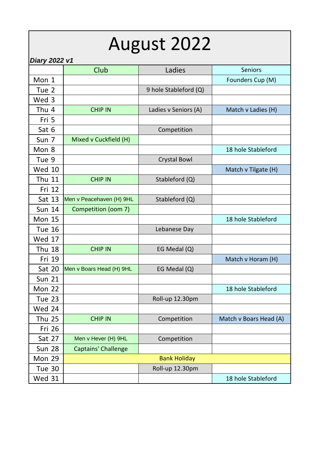## August 2022

| Diary 2022 v1 |                          |                       |                        |
|---------------|--------------------------|-----------------------|------------------------|
|               | Club                     | Ladies                | <b>Seniors</b>         |
| Mon 1         |                          |                       | Founders Cup (M)       |
| Tue 2         |                          | 9 hole Stableford (Q) |                        |
| Wed 3         |                          |                       |                        |
| Thu 4         | <b>CHIP IN</b>           | Ladies v Seniors (A)  | Match v Ladies (H)     |
| Fri 5         |                          |                       |                        |
| Sat 6         |                          | Competition           |                        |
| Sun 7         | Mixed v Cuckfield (H)    |                       |                        |
| Mon 8         |                          |                       | 18 hole Stableford     |
| Tue 9         |                          | <b>Crystal Bowl</b>   |                        |
| <b>Wed 10</b> |                          |                       | Match v Tilgate (H)    |
| <b>Thu 11</b> | <b>CHIP IN</b>           | Stableford (Q)        |                        |
| Fri 12        |                          |                       |                        |
| <b>Sat 13</b> | Men v Peacehaven (H) 9HL | Stableford (Q)        |                        |
| <b>Sun 14</b> | Competition (oom 7)      |                       |                        |
| <b>Mon 15</b> |                          |                       | 18 hole Stableford     |
| <b>Tue 16</b> |                          | Lebanese Day          |                        |
| <b>Wed 17</b> |                          |                       |                        |
| <b>Thu 18</b> | <b>CHIP IN</b>           | EG Medal (Q)          |                        |
| Fri 19        |                          |                       | Match v Horam (H)      |
| <b>Sat 20</b> | Men v Boars Head (H) 9HL | EG Medal (Q)          |                        |
| <b>Sun 21</b> |                          |                       |                        |
| Mon 22        |                          |                       | 18 hole Stableford     |
| Tue 23        |                          | Roll-up 12.30pm       |                        |
| Wed 24        |                          |                       |                        |
| <b>Thu 25</b> | <b>CHIP IN</b>           | Competition           | Match v Boars Head (A) |
| Fri 26        |                          |                       |                        |
| Sat 27        | Men v Hever (H) 9HL      | Competition           |                        |
| <b>Sun 28</b> | Captains' Challenge      |                       |                        |
| <b>Mon 29</b> |                          | <b>Bank Holiday</b>   |                        |
| <b>Tue 30</b> |                          | Roll-up 12.30pm       |                        |
| <b>Wed 31</b> |                          |                       | 18 hole Stableford     |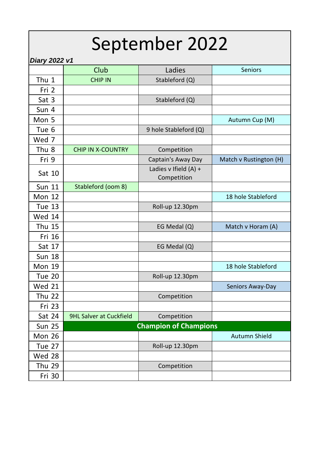## September 2022

*Diary 2022 v1*

| <i>Diary 2022 V I</i> |                                |                                      |                        |
|-----------------------|--------------------------------|--------------------------------------|------------------------|
|                       | Club                           | Ladies                               | Seniors                |
| Thu 1                 | <b>CHIP IN</b>                 | Stableford (Q)                       |                        |
| Fri 2                 |                                |                                      |                        |
| Sat 3                 |                                | Stableford (Q)                       |                        |
| Sun 4                 |                                |                                      |                        |
| Mon 5                 |                                |                                      | Autumn Cup (M)         |
| Tue 6                 |                                | 9 hole Stableford (Q)                |                        |
| Wed 7                 |                                |                                      |                        |
| Thu <sub>8</sub>      | <b>CHIP IN X-COUNTRY</b>       | Competition                          |                        |
| Fri 9                 |                                | Captain's Away Day                   | Match v Rustington (H) |
| Sat 10                |                                | Ladies v Ifield (A) +<br>Competition |                        |
| <b>Sun 11</b>         | Stableford (oom 8)             |                                      |                        |
| <b>Mon 12</b>         |                                |                                      | 18 hole Stableford     |
| <b>Tue 13</b>         |                                | Roll-up 12.30pm                      |                        |
| <b>Wed 14</b>         |                                |                                      |                        |
| <b>Thu 15</b>         |                                | EG Medal (Q)                         | Match v Horam (A)      |
| Fri 16                |                                |                                      |                        |
| Sat 17                |                                | EG Medal (Q)                         |                        |
| <b>Sun 18</b>         |                                |                                      |                        |
| Mon 19                |                                |                                      | 18 hole Stableford     |
| <b>Tue 20</b>         |                                | Roll-up 12.30pm                      |                        |
| <b>Wed 21</b>         |                                |                                      | Seniors Away-Day       |
| <b>Thu 22</b>         |                                | Competition                          |                        |
| <b>Fri 23</b>         |                                |                                      |                        |
| Sat 24                | <b>9HL Salver at Cuckfield</b> | Competition                          |                        |
| <b>Sun 25</b>         |                                | <b>Champion of Champions</b>         |                        |
| Mon 26                |                                |                                      | Autumn Shield          |
| Tue 27                |                                | Roll-up 12.30pm                      |                        |
| Wed 28                |                                |                                      |                        |
| <b>Thu 29</b>         |                                | Competition                          |                        |
| Fri 30                |                                |                                      |                        |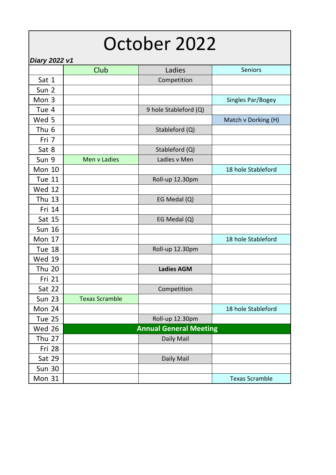## October 2022

| Diary 2022 v1    |                       |                               |                       |
|------------------|-----------------------|-------------------------------|-----------------------|
|                  | Club                  | Ladies                        | <b>Seniors</b>        |
| Sat 1            |                       | Competition                   |                       |
| Sun <sub>2</sub> |                       |                               |                       |
| Mon 3            |                       |                               | Singles Par/Bogey     |
| Tue 4            |                       | 9 hole Stableford (Q)         |                       |
| Wed 5            |                       |                               | Match v Dorking (H)   |
| Thu <sub>6</sub> |                       | Stableford (Q)                |                       |
| Fri 7            |                       |                               |                       |
| Sat 8            |                       | Stableford (Q)                |                       |
| Sun 9            | Men v Ladies          | Ladies v Men                  |                       |
| Mon 10           |                       |                               | 18 hole Stableford    |
| <b>Tue 11</b>    |                       | Roll-up 12.30pm               |                       |
| <b>Wed 12</b>    |                       |                               |                       |
| <b>Thu 13</b>    |                       | EG Medal (Q)                  |                       |
| Fri 14           |                       |                               |                       |
| Sat 15           |                       | EG Medal (Q)                  |                       |
| <b>Sun 16</b>    |                       |                               |                       |
| <b>Mon 17</b>    |                       |                               | 18 hole Stableford    |
| Tue 18           |                       | Roll-up 12.30pm               |                       |
| <b>Wed 19</b>    |                       |                               |                       |
| <b>Thu 20</b>    |                       | <b>Ladies AGM</b>             |                       |
| Fri 21           |                       |                               |                       |
| <b>Sat 22</b>    |                       | Competition                   |                       |
| <b>Sun 23</b>    | <b>Texas Scramble</b> |                               |                       |
| Mon 24           |                       |                               | 18 hole Stableford    |
| <b>Tue 25</b>    |                       | Roll-up 12.30pm               |                       |
| Wed 26           |                       | <b>Annual General Meeting</b> |                       |
| <b>Thu 27</b>    |                       | Daily Mail                    |                       |
| Fri 28           |                       |                               |                       |
| Sat 29           |                       | Daily Mail                    |                       |
| <b>Sun 30</b>    |                       |                               |                       |
| <b>Mon 31</b>    |                       |                               | <b>Texas Scramble</b> |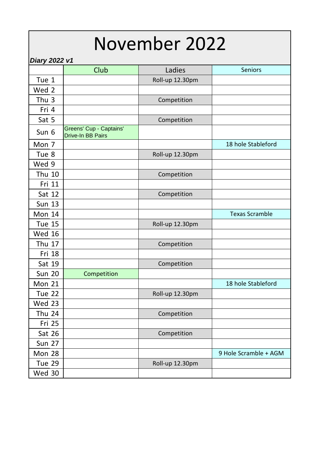#### November 2022

#### *Diary 2022 v1*

| <i>Diary 2022 VT</i> |                                                     |                 |                       |
|----------------------|-----------------------------------------------------|-----------------|-----------------------|
|                      | Club                                                | Ladies          | <b>Seniors</b>        |
| Tue 1                |                                                     | Roll-up 12.30pm |                       |
| Wed 2                |                                                     |                 |                       |
| Thu 3                |                                                     | Competition     |                       |
| Fri 4                |                                                     |                 |                       |
| Sat 5                |                                                     | Competition     |                       |
| Sun 6                | Greens' Cup - Captains'<br><b>Drive-In BB Pairs</b> |                 |                       |
| Mon 7                |                                                     |                 | 18 hole Stableford    |
| Tue 8                |                                                     | Roll-up 12.30pm |                       |
| Wed 9                |                                                     |                 |                       |
| <b>Thu 10</b>        |                                                     | Competition     |                       |
| Fri 11               |                                                     |                 |                       |
| Sat 12               |                                                     | Competition     |                       |
| <b>Sun 13</b>        |                                                     |                 |                       |
| Mon 14               |                                                     |                 | <b>Texas Scramble</b> |
| <b>Tue 15</b>        |                                                     | Roll-up 12.30pm |                       |
| <b>Wed 16</b>        |                                                     |                 |                       |
| Thu 17               |                                                     | Competition     |                       |
| Fri 18               |                                                     |                 |                       |
| Sat 19               |                                                     | Competition     |                       |
| <b>Sun 20</b>        | Competition                                         |                 |                       |
| Mon 21               |                                                     |                 | 18 hole Stableford    |
| <b>Tue 22</b>        |                                                     | Roll-up 12.30pm |                       |
| Wed 23               |                                                     |                 |                       |
| <b>Thu 24</b>        |                                                     | Competition     |                       |
| Fri 25               |                                                     |                 |                       |
| Sat 26               |                                                     | Competition     |                       |
| <b>Sun 27</b>        |                                                     |                 |                       |
| <b>Mon 28</b>        |                                                     |                 | 9 Hole Scramble + AGM |
| <b>Tue 29</b>        |                                                     | Roll-up 12.30pm |                       |
| Wed 30               |                                                     |                 |                       |